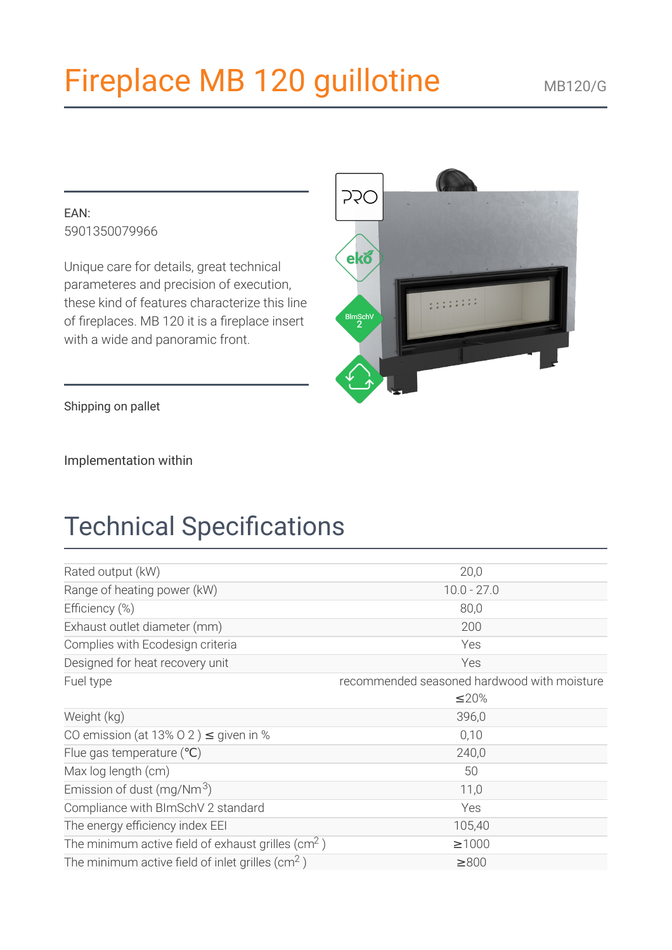# Fireplace MB 120 guillotine

#### $FAN$ 5901350079966

Unique care for details, great technical parameteres and precision of execution, these kind of features characterize this line of fireplaces. MB 120 it is a fireplace insert with a wide and panoramic front.



Implementation within

## **Technical Specifications**

| Rated output (kW)                                             | 20,0                                        |
|---------------------------------------------------------------|---------------------------------------------|
| Range of heating power (kW)                                   | $10.0 - 27.0$                               |
| Efficiency (%)                                                | 80,0                                        |
| Exhaust outlet diameter (mm)                                  | 200                                         |
| Complies with Ecodesign criteria                              | Yes                                         |
| Designed for heat recovery unit                               | Yes                                         |
| Fuel type                                                     | recommended seasoned hardwood with moisture |
|                                                               | ≤20%                                        |
| Weight (kg)                                                   | 396,0                                       |
| CO emission (at 13% O 2) $\leq$ given in %                    | 0,10                                        |
| Flue gas temperature $(^{\circ}C)$                            | 240,0                                       |
| Max log length (cm)                                           | 50                                          |
| Emission of dust (mg/Nm <sup>3</sup> )                        | 11,0                                        |
| Compliance with BImSchV 2 standard                            | Yes                                         |
| The energy efficiency index EEI                               | 105,40                                      |
| The minimum active field of exhaust grilles ( $\text{cm}^2$ ) | $\geq 1000$                                 |
| The minimum active field of inlet grilles $\rm (cm^2)$        | $\geq 800$                                  |

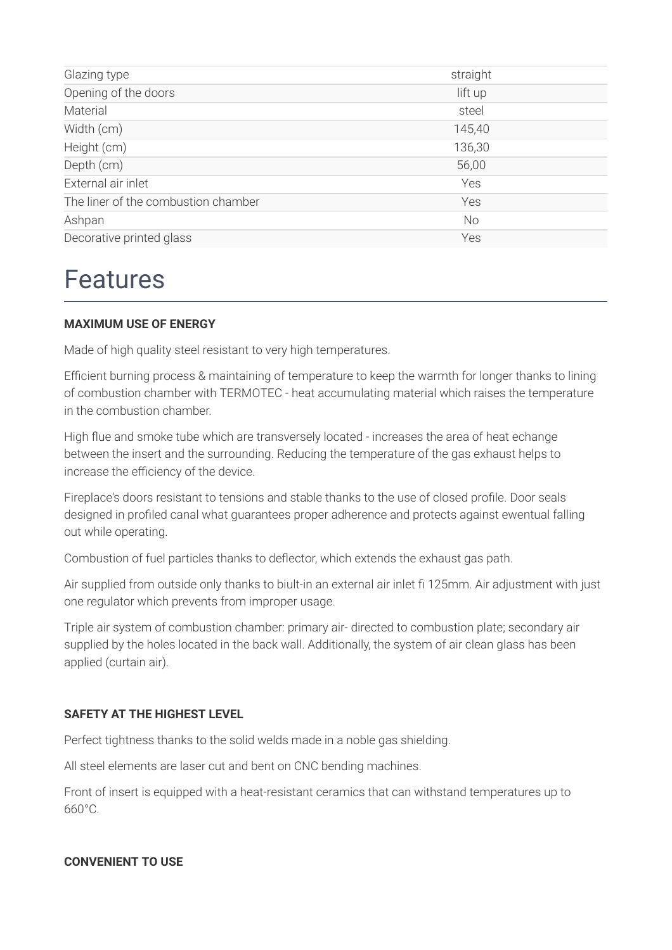| Glazing type                        | straight  |
|-------------------------------------|-----------|
| Opening of the doors                | lift up   |
| Material                            | steel     |
| Width (cm)                          | 145,40    |
| Height (cm)                         | 136,30    |
| Depth (cm)                          | 56,00     |
| External air inlet                  | Yes       |
| The liner of the combustion chamber | Yes       |
| Ashpan                              | <b>No</b> |
| Decorative printed glass            | Yes       |
|                                     |           |

### **Features**

#### **MAXIMUM USE OF ENERGY**

Made of high quality steel resistant to very high temperatures.

Efficient burning process & maintaining of temperature to keep the warmth for longer thanks to lining of combustion chamber with TERMOTEC - heat accumulating material which raises the temperature in the combustion chamber.

High flue and smoke tube which are transversely located - increases the area of heat echange between the insert and the surrounding. Reducing the temperature of the gas exhaust helps to increase the efficiency of the device.

Fireplace's doors resistant to tensions and stable thanks to the use of closed profile. Door seals designed in profiled canal what quarantees proper adherence and protects against ewentual falling out while operating.

Combustion of fuel particles thanks to deflector, which extends the exhaust gas path.

Air supplied from outside only thanks to biult-in an external air inlet fi 125mm. Air adjustment with just one regulator which prevents from improper usage.

Triple air system of combustion chamber: primary air- directed to combustion plate; secondary air supplied by the holes located in the back wall. Additionally, the system of air clean glass has been applied (curtain air).

#### SAFFTY AT THE HIGHEST I FVFI

Perfect tightness thanks to the solid welds made in a noble gas shielding.

All steel elements are laser cut and bent on CNC bending machines.

Front of insert is equipped with a heat-resistant ceramics that can withstand temperatures up to 660°C.

#### **CONVENIENT TO USE**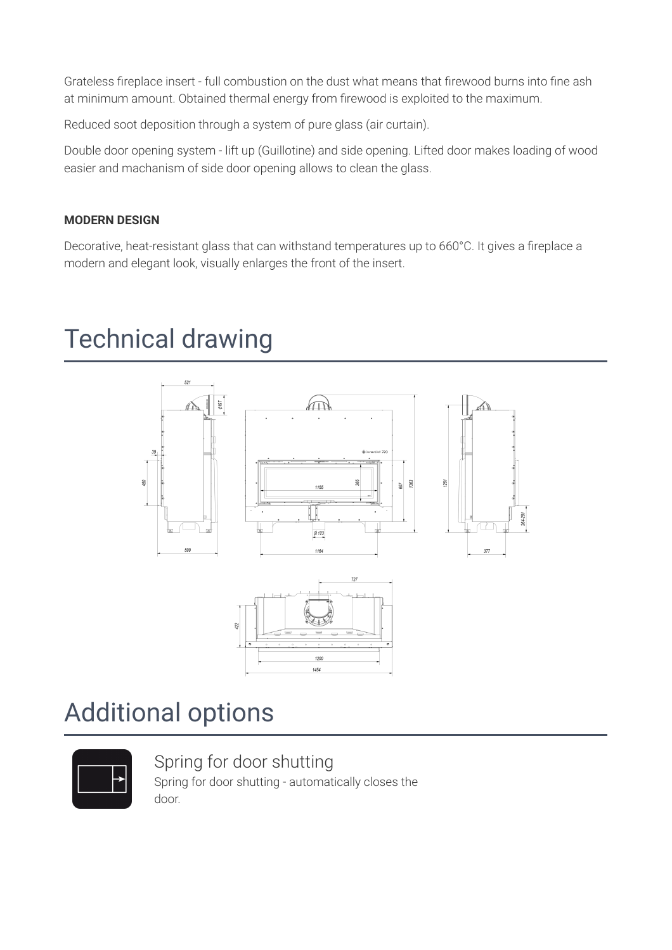Grateless fireplace insert - full combustion on the dust what means that firewood burns into fine ash at minimum amount. Obtained thermal energy from firewood is exploited to the maximum.

Reduced soot deposition through a system of pure glass (air curtain).

Double door opening system - lift up (Guillotine) and side opening. Lifted door makes loading of wood easier and machanism of side door opening allows to clean the glass.

#### **MODERN DESIGN**

Decorative, heat-resistant glass that can withstand temperatures up to 660°C. It gives a fireplace a modern and elegant look, visually enlarges the front of the insert.

### **Technical drawing**



### **Additional options**



Spring for door shutting Spring for door shutting - automatically closes the door.